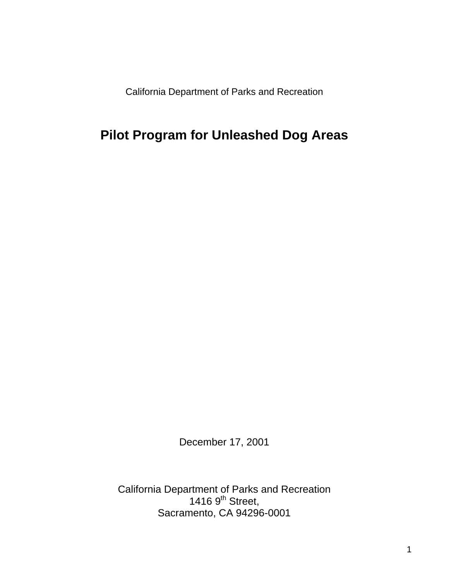California Department of Parks and Recreation

# **Pilot Program for Unleashed Dog Areas**

December 17, 2001

California Department of Parks and Recreation 1416  $9<sup>th</sup>$  Street, Sacramento, CA 94296-0001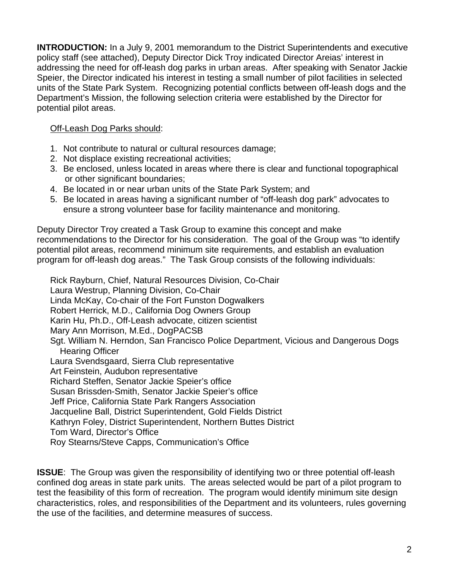**INTRODUCTION:** In a July 9, 2001 memorandum to the District Superintendents and executive policy staff (see attached), Deputy Director Dick Troy indicated Director Areias' interest in addressing the need for off-leash dog parks in urban areas. After speaking with Senator Jackie Speier, the Director indicated his interest in testing a small number of pilot facilities in selected units of the State Park System. Recognizing potential conflicts between off-leash dogs and the Department's Mission, the following selection criteria were established by the Director for potential pilot areas.

#### Off-Leash Dog Parks should:

- 1. Not contribute to natural or cultural resources damage;
- 2. Not displace existing recreational activities;
- 3. Be enclosed, unless located in areas where there is clear and functional topographical or other significant boundaries;
- 4. Be located in or near urban units of the State Park System; and
- 5. Be located in areas having a significant number of "off-leash dog park" advocates to ensure a strong volunteer base for facility maintenance and monitoring.

Deputy Director Troy created a Task Group to examine this concept and make recommendations to the Director for his consideration. The goal of the Group was "to identify potential pilot areas, recommend minimum site requirements, and establish an evaluation program for off-leash dog areas." The Task Group consists of the following individuals:

Rick Rayburn, Chief, Natural Resources Division, Co-Chair Laura Westrup, Planning Division, Co-Chair Linda McKay, Co-chair of the Fort Funston Dogwalkers Robert Herrick, M.D., California Dog Owners Group Karin Hu, Ph.D., Off-Leash advocate, citizen scientist Mary Ann Morrison, M.Ed., DogPACSB Sgt. William N. Herndon, San Francisco Police Department, Vicious and Dangerous Dogs Hearing Officer Laura Svendsgaard, Sierra Club representative Art Feinstein, Audubon representative Richard Steffen, Senator Jackie Speier's office Susan Brissden-Smith, Senator Jackie Speier's office Jeff Price, California State Park Rangers Association Jacqueline Ball, District Superintendent, Gold Fields District Kathryn Foley, District Superintendent, Northern Buttes District Tom Ward, Director's Office Roy Stearns/Steve Capps, Communication's Office

**ISSUE**: The Group was given the responsibility of identifying two or three potential off-leash confined dog areas in state park units. The areas selected would be part of a pilot program to test the feasibility of this form of recreation. The program would identify minimum site design characteristics, roles, and responsibilities of the Department and its volunteers, rules governing the use of the facilities, and determine measures of success.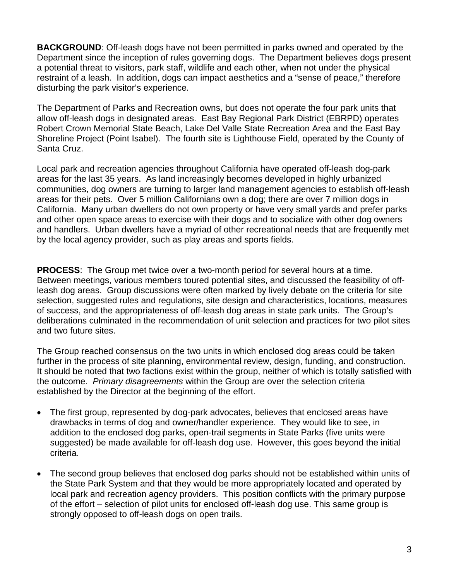**BACKGROUND**: Off-leash dogs have not been permitted in parks owned and operated by the Department since the inception of rules governing dogs. The Department believes dogs present a potential threat to visitors, park staff, wildlife and each other, when not under the physical restraint of a leash. In addition, dogs can impact aesthetics and a "sense of peace," therefore disturbing the park visitor's experience.

The Department of Parks and Recreation owns, but does not operate the four park units that allow off-leash dogs in designated areas. East Bay Regional Park District (EBRPD) operates Robert Crown Memorial State Beach, Lake Del Valle State Recreation Area and the East Bay Shoreline Project (Point Isabel). The fourth site is Lighthouse Field, operated by the County of Santa Cruz.

Local park and recreation agencies throughout California have operated off-leash dog-park areas for the last 35 years. As land increasingly becomes developed in highly urbanized communities, dog owners are turning to larger land management agencies to establish off-leash areas for their pets. Over 5 million Californians own a dog; there are over 7 million dogs in California. Many urban dwellers do not own property or have very small yards and prefer parks and other open space areas to exercise with their dogs and to socialize with other dog owners and handlers. Urban dwellers have a myriad of other recreational needs that are frequently met by the local agency provider, such as play areas and sports fields.

**PROCESS**: The Group met twice over a two-month period for several hours at a time. Between meetings, various members toured potential sites, and discussed the feasibility of offleash dog areas. Group discussions were often marked by lively debate on the criteria for site selection, suggested rules and regulations, site design and characteristics, locations, measures of success, and the appropriateness of off-leash dog areas in state park units. The Group's deliberations culminated in the recommendation of unit selection and practices for two pilot sites and two future sites.

The Group reached consensus on the two units in which enclosed dog areas could be taken further in the process of site planning, environmental review, design, funding, and construction. It should be noted that two factions exist within the group, neither of which is totally satisfied with the outcome. *Primary disagreements* within the Group are over the selection criteria established by the Director at the beginning of the effort.

- The first group, represented by dog-park advocates, believes that enclosed areas have drawbacks in terms of dog and owner/handler experience. They would like to see, in addition to the enclosed dog parks, open-trail segments in State Parks (five units were suggested) be made available for off-leash dog use. However, this goes beyond the initial criteria.
- The second group believes that enclosed dog parks should not be established within units of the State Park System and that they would be more appropriately located and operated by local park and recreation agency providers. This position conflicts with the primary purpose of the effort – selection of pilot units for enclosed off-leash dog use. This same group is strongly opposed to off-leash dogs on open trails.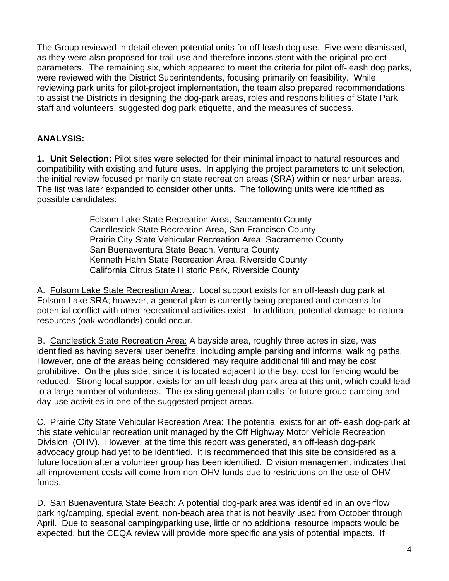The Group reviewed in detail eleven potential units for off-leash dog use. Five were dismissed, as they were also proposed for trail use and therefore inconsistent with the original project parameters. The remaining six, which appeared to meet the criteria for pilot off-leash dog parks, were reviewed with the District Superintendents, focusing primarily on feasibility. While reviewing park units for pilot-project implementation, the team also prepared recommendations to assist the Districts in designing the dog-park areas, roles and responsibilities of State Park staff and volunteers, suggested dog park etiquette, and the measures of success.

# **ANALYSIS:**

**1. Unit Selection:** Pilot sites were selected for their minimal impact to natural resources and compatibility with existing and future uses. In applying the project parameters to unit selection, the initial review focused primarily on state recreation areas (SRA) within or near urban areas. The list was later expanded to consider other units. The following units were identified as possible candidates:

> Folsom Lake State Recreation Area, Sacramento County Candlestick State Recreation Area, San Francisco County Prairie City State Vehicular Recreation Area, Sacramento County San Buenaventura State Beach, Ventura County Kenneth Hahn State Recreation Area, Riverside County California Citrus State Historic Park, Riverside County

A. Folsom Lake State Recreation Area:. Local support exists for an off-leash dog park at Folsom Lake SRA; however, a general plan is currently being prepared and concerns for potential conflict with other recreational activities exist. In addition, potential damage to natural resources (oak woodlands) could occur.

B. Candlestick State Recreation Area: A bayside area, roughly three acres in size, was identified as having several user benefits, including ample parking and informal walking paths. However, one of the areas being considered may require additional fill and may be cost prohibitive. On the plus side, since it is located adjacent to the bay, cost for fencing would be reduced. Strong local support exists for an off-leash dog-park area at this unit, which could lead to a large number of volunteers. The existing general plan calls for future group camping and day-use activities in one of the suggested project areas.

C. Prairie City State Vehicular Recreation Area: The potential exists for an off-leash dog-park at this state vehicular recreation unit managed by the Off Highway Motor Vehicle Recreation Division (OHV). However, at the time this report was generated, an off-leash dog-park advocacy group had yet to be identified. It is recommended that this site be considered as a future location after a volunteer group has been identified. Division management indicates that all improvement costs will come from non-OHV funds due to restrictions on the use of OHV funds.

D. San Buenaventura State Beach: A potential dog-park area was identified in an overflow parking/camping, special event, non-beach area that is not heavily used from October through April. Due to seasonal camping/parking use, little or no additional resource impacts would be expected, but the CEQA review will provide more specific analysis of potential impacts. If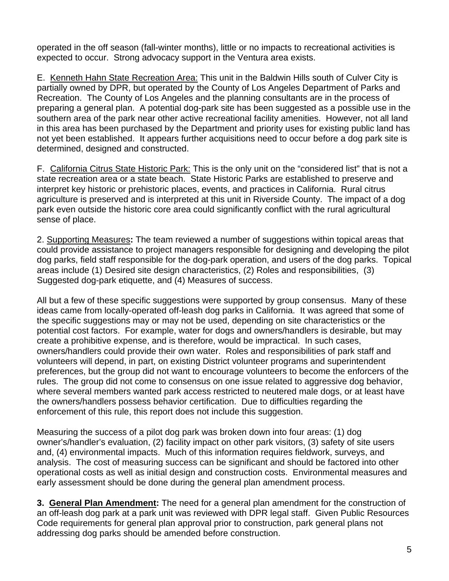operated in the off season (fall-winter months), little or no impacts to recreational activities is expected to occur. Strong advocacy support in the Ventura area exists.

E. Kenneth Hahn State Recreation Area: This unit in the Baldwin Hills south of Culver City is partially owned by DPR, but operated by the County of Los Angeles Department of Parks and Recreation. The County of Los Angeles and the planning consultants are in the process of preparing a general plan. A potential dog-park site has been suggested as a possible use in the southern area of the park near other active recreational facility amenities. However, not all land in this area has been purchased by the Department and priority uses for existing public land has not yet been established. It appears further acquisitions need to occur before a dog park site is determined, designed and constructed.

F. California Citrus State Historic Park: This is the only unit on the "considered list" that is not a state recreation area or a state beach. State Historic Parks are established to preserve and interpret key historic or prehistoric places, events, and practices in California. Rural citrus agriculture is preserved and is interpreted at this unit in Riverside County. The impact of a dog park even outside the historic core area could significantly conflict with the rural agricultural sense of place.

2. Supporting Measures**:** The team reviewed a number of suggestions within topical areas that could provide assistance to project managers responsible for designing and developing the pilot dog parks, field staff responsible for the dog-park operation, and users of the dog parks. Topical areas include (1) Desired site design characteristics, (2) Roles and responsibilities, (3) Suggested dog-park etiquette, and (4) Measures of success.

All but a few of these specific suggestions were supported by group consensus. Many of these ideas came from locally-operated off-leash dog parks in California. It was agreed that some of the specific suggestions may or may not be used, depending on site characteristics or the potential cost factors. For example, water for dogs and owners/handlers is desirable, but may create a prohibitive expense, and is therefore, would be impractical. In such cases, owners/handlers could provide their own water. Roles and responsibilities of park staff and volunteers will depend, in part, on existing District volunteer programs and superintendent preferences, but the group did not want to encourage volunteers to become the enforcers of the rules. The group did not come to consensus on one issue related to aggressive dog behavior, where several members wanted park access restricted to neutered male dogs, or at least have the owners/handlers possess behavior certification. Due to difficulties regarding the enforcement of this rule, this report does not include this suggestion.

Measuring the success of a pilot dog park was broken down into four areas: (1) dog owner's/handler's evaluation, (2) facility impact on other park visitors, (3) safety of site users and, (4) environmental impacts. Much of this information requires fieldwork, surveys, and analysis. The cost of measuring success can be significant and should be factored into other operational costs as well as initial design and construction costs. Environmental measures and early assessment should be done during the general plan amendment process.

**3. General Plan Amendment:** The need for a general plan amendment for the construction of an off-leash dog park at a park unit was reviewed with DPR legal staff. Given Public Resources Code requirements for general plan approval prior to construction, park general plans not addressing dog parks should be amended before construction.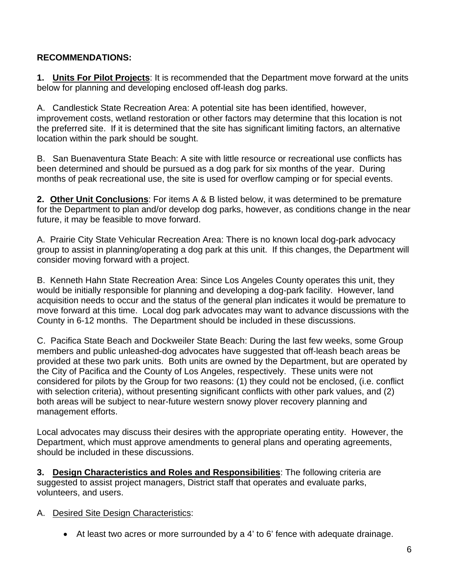# **RECOMMENDATIONS:**

**1. Units For Pilot Projects**: It is recommended that the Department move forward at the units below for planning and developing enclosed off-leash dog parks.

A. Candlestick State Recreation Area: A potential site has been identified, however, improvement costs, wetland restoration or other factors may determine that this location is not the preferred site. If it is determined that the site has significant limiting factors, an alternative location within the park should be sought.

B. San Buenaventura State Beach: A site with little resource or recreational use conflicts has been determined and should be pursued as a dog park for six months of the year. During months of peak recreational use, the site is used for overflow camping or for special events.

**2. Other Unit Conclusions**: For items A & B listed below, it was determined to be premature for the Department to plan and/or develop dog parks, however, as conditions change in the near future, it may be feasible to move forward.

A. Prairie City State Vehicular Recreation Area: There is no known local dog-park advocacy group to assist in planning/operating a dog park at this unit. If this changes, the Department will consider moving forward with a project.

B. Kenneth Hahn State Recreation Area: Since Los Angeles County operates this unit, they would be initially responsible for planning and developing a dog-park facility. However, land acquisition needs to occur and the status of the general plan indicates it would be premature to move forward at this time. Local dog park advocates may want to advance discussions with the County in 6-12 months. The Department should be included in these discussions.

C. Pacifica State Beach and Dockweiler State Beach: During the last few weeks, some Group members and public unleashed-dog advocates have suggested that off-leash beach areas be provided at these two park units. Both units are owned by the Department, but are operated by the City of Pacifica and the County of Los Angeles, respectively. These units were not considered for pilots by the Group for two reasons: (1) they could not be enclosed, (i.e. conflict with selection criteria), without presenting significant conflicts with other park values, and (2) both areas will be subject to near-future western snowy plover recovery planning and management efforts.

Local advocates may discuss their desires with the appropriate operating entity. However, the Department, which must approve amendments to general plans and operating agreements, should be included in these discussions.

**3. Design Characteristics and Roles and Responsibilities**: The following criteria are suggested to assist project managers, District staff that operates and evaluate parks, volunteers, and users.

#### A. Desired Site Design Characteristics:

• At least two acres or more surrounded by a 4' to 6' fence with adequate drainage.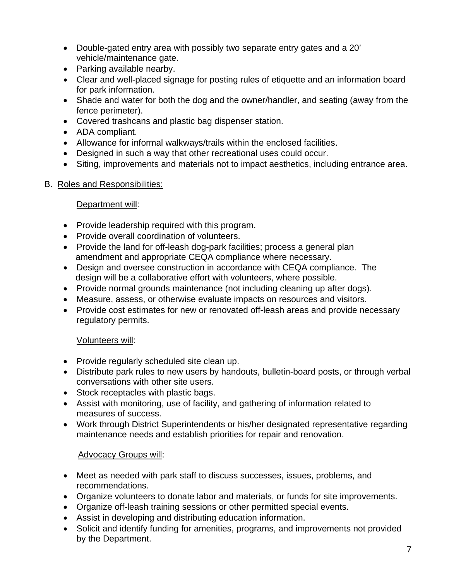- Double-gated entry area with possibly two separate entry gates and a 20' vehicle/maintenance gate.
- Parking available nearby.
- Clear and well-placed signage for posting rules of etiquette and an information board for park information.
- Shade and water for both the dog and the owner/handler, and seating (away from the fence perimeter).
- Covered trashcans and plastic bag dispenser station.
- ADA compliant.
- Allowance for informal walkways/trails within the enclosed facilities.
- Designed in such a way that other recreational uses could occur.
- Siting, improvements and materials not to impact aesthetics, including entrance area.

#### B. Roles and Responsibilities:

#### Department will:

- Provide leadership required with this program.
- Provide overall coordination of volunteers.
- Provide the land for off-leash dog-park facilities; process a general plan amendment and appropriate CEQA compliance where necessary.
- Design and oversee construction in accordance with CEQA compliance. The design will be a collaborative effort with volunteers, where possible.
- Provide normal grounds maintenance (not including cleaning up after dogs).
- Measure, assess, or otherwise evaluate impacts on resources and visitors.
- Provide cost estimates for new or renovated off-leash areas and provide necessary regulatory permits.

#### Volunteers will:

- Provide regularly scheduled site clean up.
- Distribute park rules to new users by handouts, bulletin-board posts, or through verbal conversations with other site users.
- Stock receptacles with plastic bags.
- Assist with monitoring, use of facility, and gathering of information related to measures of success.
- Work through District Superintendents or his/her designated representative regarding maintenance needs and establish priorities for repair and renovation.

# Advocacy Groups will:

- Meet as needed with park staff to discuss successes, issues, problems, and recommendations.
- Organize volunteers to donate labor and materials, or funds for site improvements.
- Organize off-leash training sessions or other permitted special events.
- Assist in developing and distributing education information.
- Solicit and identify funding for amenities, programs, and improvements not provided by the Department.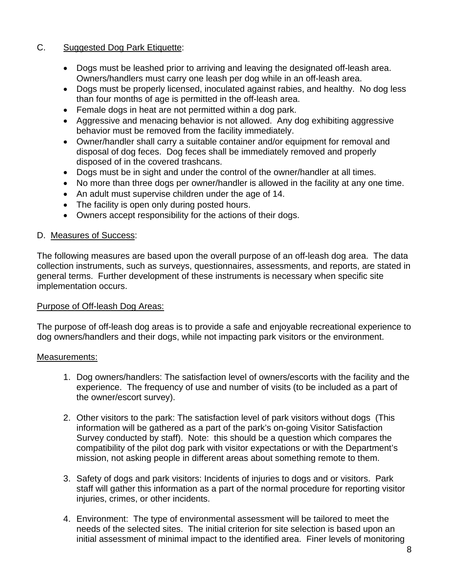#### C. Suggested Dog Park Etiquette:

- Dogs must be leashed prior to arriving and leaving the designated off-leash area. Owners/handlers must carry one leash per dog while in an off-leash area.
- Dogs must be properly licensed, inoculated against rabies, and healthy. No dog less than four months of age is permitted in the off-leash area.
- Female dogs in heat are not permitted within a dog park.
- Aggressive and menacing behavior is not allowed. Any dog exhibiting aggressive behavior must be removed from the facility immediately.
- Owner/handler shall carry a suitable container and/or equipment for removal and disposal of dog feces. Dog feces shall be immediately removed and properly disposed of in the covered trashcans.
- Dogs must be in sight and under the control of the owner/handler at all times.
- No more than three dogs per owner/handler is allowed in the facility at any one time.
- An adult must supervise children under the age of 14.
- The facility is open only during posted hours.
- Owners accept responsibility for the actions of their dogs.

#### D. Measures of Success:

The following measures are based upon the overall purpose of an off-leash dog area. The data collection instruments, such as surveys, questionnaires, assessments, and reports, are stated in general terms. Further development of these instruments is necessary when specific site implementation occurs.

#### Purpose of Off-leash Dog Areas:

The purpose of off-leash dog areas is to provide a safe and enjoyable recreational experience to dog owners/handlers and their dogs, while not impacting park visitors or the environment.

#### Measurements:

- 1. Dog owners/handlers: The satisfaction level of owners/escorts with the facility and the experience. The frequency of use and number of visits (to be included as a part of the owner/escort survey).
- 2. Other visitors to the park: The satisfaction level of park visitors without dogs (This information will be gathered as a part of the park's on-going Visitor Satisfaction Survey conducted by staff). Note: this should be a question which compares the compatibility of the pilot dog park with visitor expectations or with the Department's mission, not asking people in different areas about something remote to them.
- 3. Safety of dogs and park visitors: Incidents of injuries to dogs and or visitors. Park staff will gather this information as a part of the normal procedure for reporting visitor injuries, crimes, or other incidents.
- 4. Environment: The type of environmental assessment will be tailored to meet the needs of the selected sites. The initial criterion for site selection is based upon an initial assessment of minimal impact to the identified area. Finer levels of monitoring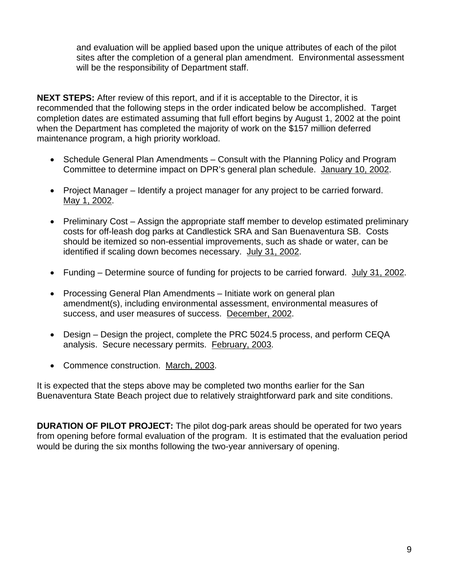and evaluation will be applied based upon the unique attributes of each of the pilot sites after the completion of a general plan amendment. Environmental assessment will be the responsibility of Department staff.

**NEXT STEPS:** After review of this report, and if it is acceptable to the Director, it is recommended that the following steps in the order indicated below be accomplished. Target completion dates are estimated assuming that full effort begins by August 1, 2002 at the point when the Department has completed the majority of work on the \$157 million deferred maintenance program, a high priority workload.

- Schedule General Plan Amendments Consult with the Planning Policy and Program Committee to determine impact on DPR's general plan schedule. January 10, 2002.
- Project Manager Identify a project manager for any project to be carried forward. May 1, 2002.
- Preliminary Cost Assign the appropriate staff member to develop estimated preliminary costs for off-leash dog parks at Candlestick SRA and San Buenaventura SB. Costs should be itemized so non-essential improvements, such as shade or water, can be identified if scaling down becomes necessary. July 31, 2002.
- Funding Determine source of funding for projects to be carried forward. July 31, 2002.
- Processing General Plan Amendments Initiate work on general plan amendment(s), including environmental assessment, environmental measures of success, and user measures of success. December, 2002.
- Design Design the project, complete the PRC 5024.5 process, and perform CEQA analysis. Secure necessary permits. February, 2003.
- Commence construction. March, 2003.

It is expected that the steps above may be completed two months earlier for the San Buenaventura State Beach project due to relatively straightforward park and site conditions.

**DURATION OF PILOT PROJECT:** The pilot dog-park areas should be operated for two years from opening before formal evaluation of the program. It is estimated that the evaluation period would be during the six months following the two-year anniversary of opening.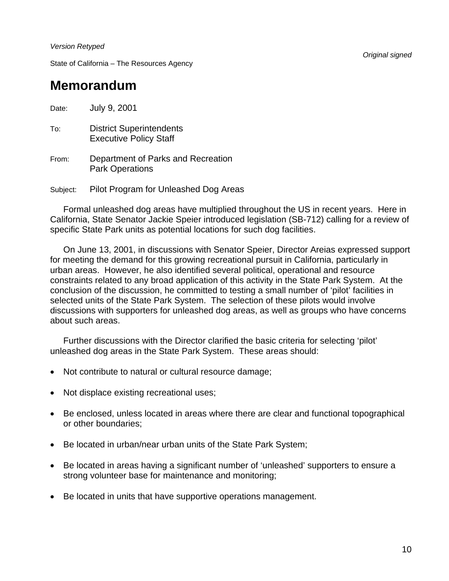*Version Retyped* 

State of California – The Resources Agency

# **Memorandum**

Date: July 9, 2001 To: District Superintendents Executive Policy Staff From: Department of Parks and Recreation Park Operations Subject: Pilot Program for Unleashed Dog Areas

 Formal unleashed dog areas have multiplied throughout the US in recent years. Here in California, State Senator Jackie Speier introduced legislation (SB-712) calling for a review of specific State Park units as potential locations for such dog facilities.

 On June 13, 2001, in discussions with Senator Speier, Director Areias expressed support for meeting the demand for this growing recreational pursuit in California, particularly in urban areas. However, he also identified several political, operational and resource constraints related to any broad application of this activity in the State Park System. At the conclusion of the discussion, he committed to testing a small number of 'pilot' facilities in selected units of the State Park System. The selection of these pilots would involve discussions with supporters for unleashed dog areas, as well as groups who have concerns about such areas.

 Further discussions with the Director clarified the basic criteria for selecting 'pilot' unleashed dog areas in the State Park System. These areas should:

- Not contribute to natural or cultural resource damage;
- Not displace existing recreational uses;
- Be enclosed, unless located in areas where there are clear and functional topographical or other boundaries;
- Be located in urban/near urban units of the State Park System;
- Be located in areas having a significant number of 'unleashed' supporters to ensure a strong volunteer base for maintenance and monitoring;
- Be located in units that have supportive operations management.